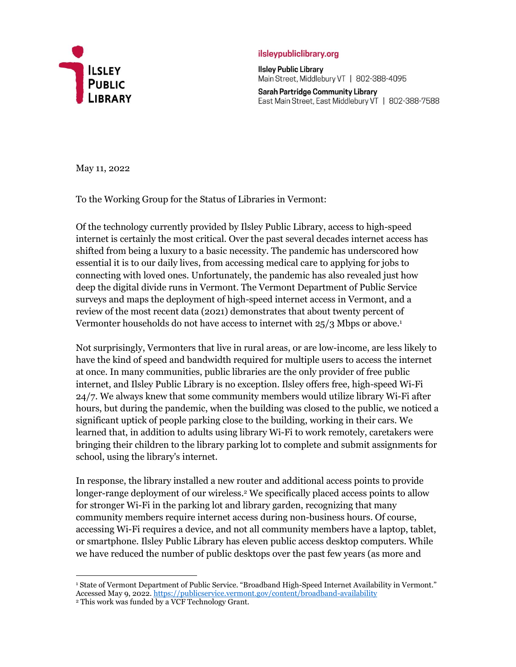

## ilsleypubliclibrary.org

**Ilsley Public Library** Main Street, Middlebury VT | 802-388-4095

Sarah Partridge Community Library East Main Street, East Middlebury VT | 802-388-7588

May 11, 2022

To the Working Group for the Status of Libraries in Vermont:

Of the technology currently provided by Ilsley Public Library, access to high-speed internet is certainly the most critical. Over the past several decades internet access has shifted from being a luxury to a basic necessity. The pandemic has underscored how essential it is to our daily lives, from accessing medical care to applying for jobs to connecting with loved ones. Unfortunately, the pandemic has also revealed just how deep the digital divide runs in Vermont. The Vermont Department of Public Service surveys and maps the deployment of high-speed internet access in Vermont, and a review of the most recent data (2021) demonstrates that about twenty percent of Vermonter households do not have access to internet with 25/3 Mbps or above.<sup>1</sup>

Not surprisingly, Vermonters that live in rural areas, or are low-income, are less likely to have the kind of speed and bandwidth required for multiple users to access the internet at once. In many communities, public libraries are the only provider of free public internet, and Ilsley Public Library is no exception. Ilsley offers free, high-speed Wi-Fi 24/7. We always knew that some community members would utilize library Wi-Fi after hours, but during the pandemic, when the building was closed to the public, we noticed a significant uptick of people parking close to the building, working in their cars. We learned that, in addition to adults using library Wi-Fi to work remotely, caretakers were bringing their children to the library parking lot to complete and submit assignments for school, using the library's internet.

In response, the library installed a new router and additional access points to provide longer-range deployment of our wireless. <sup>2</sup> We specifically placed access points to allow for stronger Wi-Fi in the parking lot and library garden, recognizing that many community members require internet access during non-business hours. Of course, accessing Wi-Fi requires a device, and not all community members have a laptop, tablet, or smartphone. Ilsley Public Library has eleven public access desktop computers. While we have reduced the number of public desktops over the past few years (as more and

 $\overline{a}$ <sup>1</sup> State of Vermont Department of Public Service. "Broadband High-Speed Internet Availability in Vermont." Accessed May 9, 2022. <https://publicservice.vermont.gov/content/broadband-availability>

<sup>2</sup> This work was funded by a VCF Technology Grant.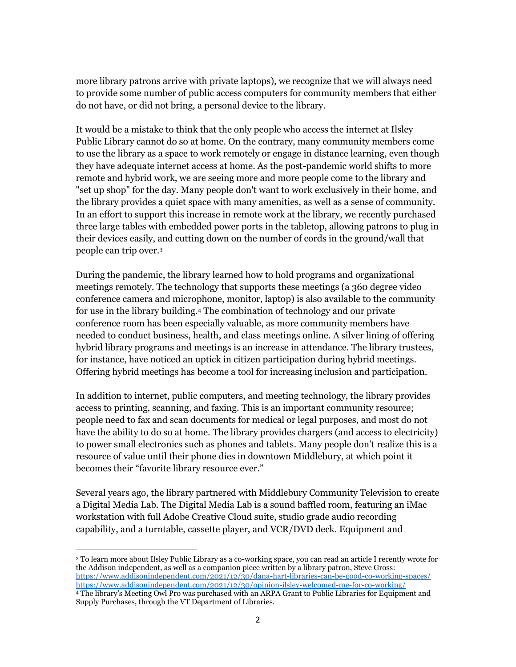more library patrons arrive with private laptops), we recognize that we will always need to provide some number of public access computers for community members that either do not have, or did not bring, a personal device to the library.

It would be a mistake to think that the only people who access the internet at Ilsley Public Library cannot do so at home. On the contrary, many community members come to use the library as a space to work remotely or engage in distance learning, even though they have adequate internet access at home. As the post-pandemic world shifts to more remote and hybrid work, we are seeing more and more people come to the library and "set up shop" for the day. Many people don't want to work exclusively in their home, and the library provides a quiet space with many amenities, as well as a sense of community. In an effort to support this increase in remote work at the library, we recently purchased three large tables with embedded power ports in the tabletop, allowing patrons to plug in their devices easily, and cutting down on the number of cords in the ground/wall that people can trip over.<sup>3</sup>

During the pandemic, the library learned how to hold programs and organizational meetings remotely. The technology that supports these meetings (a 360 degree video conference camera and microphone, monitor, laptop) is also available to the community for use in the library building.<sup>4</sup> The combination of technology and our private conference room has been especially valuable, as more community members have needed to conduct business, health, and class meetings online. A silver lining of offering hybrid library programs and meetings is an increase in attendance. The library trustees, for instance, have noticed an uptick in citizen participation during hybrid meetings. Offering hybrid meetings has become a tool for increasing inclusion and participation.

In addition to internet, public computers, and meeting technology, the library provides access to printing, scanning, and faxing. This is an important community resource; people need to fax and scan documents for medical or legal purposes, and most do not have the ability to do so at home. The library provides chargers (and access to electricity) to power small electronics such as phones and tablets. Many people don't realize this is a resource of value until their phone dies in downtown Middlebury, at which point it becomes their "favorite library resource ever."

Several years ago, the library partnered with Middlebury Community Television to create a Digital Media Lab. The Digital Media Lab is a sound baffled room, featuring an iMac workstation with full Adobe Creative Cloud suite, studio grade audio recording capability, and a turntable, cassette player, and VCR/DVD deck. Equipment and

 $\overline{a}$ <sup>3</sup> To learn more about Ilsley Public Library as a co-working space, you can read an article I recently wrote for the Addison independent, as well as a companion piece written by a library patron, Steve Gross: <https://www.addisonindependent.com/2021/12/30/dana-hart-libraries-can-be-good-co-working-spaces/> <https://www.addisonindependent.com/2021/12/30/opinion-ilsley-welcomed-me-for-co-working/> <sup>4</sup> The library's Meeting Owl Pro was purchased with an ARPA Grant to Public Libraries for Equipment and Supply Purchases, through the VT Department of Libraries.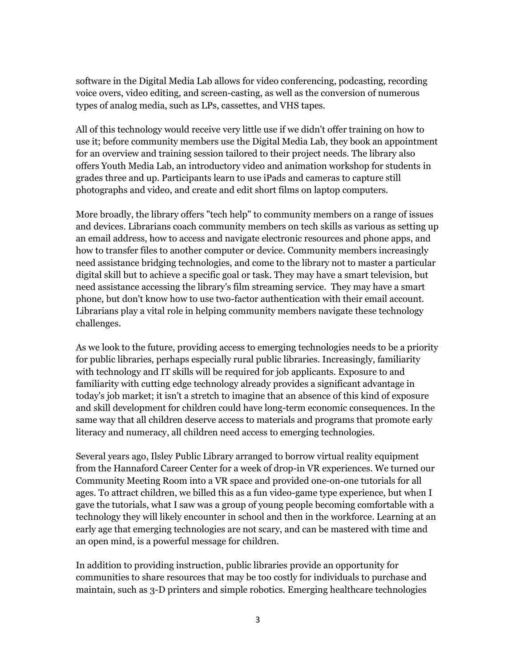software in the Digital Media Lab allows for video conferencing, podcasting, recording voice overs, video editing, and screen-casting, as well as the conversion of numerous types of analog media, such as LPs, cassettes, and VHS tapes.

All of this technology would receive very little use if we didn't offer training on how to use it; before community members use the Digital Media Lab, they book an appointment for an overview and training session tailored to their project needs. The library also offers Youth Media Lab, an introductory video and animation workshop for students in grades three and up. Participants learn to use iPads and cameras to capture still photographs and video, and create and edit short films on laptop computers.

More broadly, the library offers "tech help" to community members on a range of issues and devices. Librarians coach community members on tech skills as various as setting up an email address, how to access and navigate electronic resources and phone apps, and how to transfer files to another computer or device. Community members increasingly need assistance bridging technologies, and come to the library not to master a particular digital skill but to achieve a specific goal or task. They may have a smart television, but need assistance accessing the library's film streaming service. They may have a smart phone, but don't know how to use two-factor authentication with their email account. Librarians play a vital role in helping community members navigate these technology challenges.

As we look to the future, providing access to emerging technologies needs to be a priority for public libraries, perhaps especially rural public libraries. Increasingly, familiarity with technology and IT skills will be required for job applicants. Exposure to and familiarity with cutting edge technology already provides a significant advantage in today's job market; it isn't a stretch to imagine that an absence of this kind of exposure and skill development for children could have long-term economic consequences. In the same way that all children deserve access to materials and programs that promote early literacy and numeracy, all children need access to emerging technologies.

Several years ago, Ilsley Public Library arranged to borrow virtual reality equipment from the Hannaford Career Center for a week of drop-in VR experiences. We turned our Community Meeting Room into a VR space and provided one-on-one tutorials for all ages. To attract children, we billed this as a fun video-game type experience, but when I gave the tutorials, what I saw was a group of young people becoming comfortable with a technology they will likely encounter in school and then in the workforce. Learning at an early age that emerging technologies are not scary, and can be mastered with time and an open mind, is a powerful message for children.

In addition to providing instruction, public libraries provide an opportunity for communities to share resources that may be too costly for individuals to purchase and maintain, such as 3-D printers and simple robotics. Emerging healthcare technologies